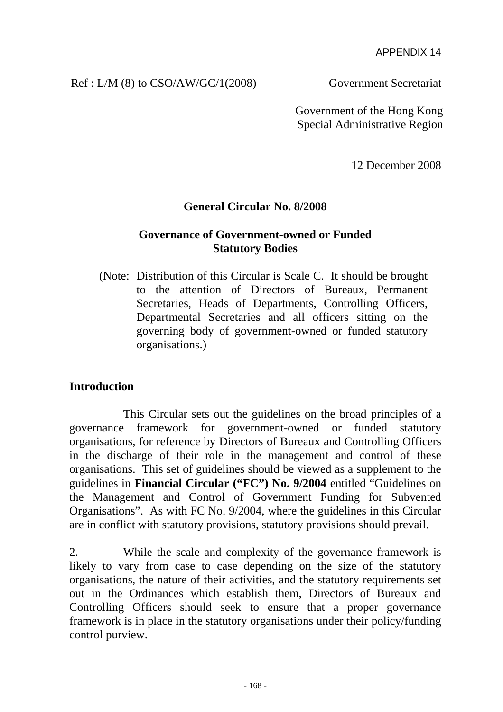#### APPENDIX 14

#### Ref : L/M (8) to CSO/AW/GC/1(2008) Government Secretariat

 Government of the Hong Kong Special Administrative Region

12 December 2008

### **General Circular No. 8/2008**

#### **Governance of Government-owned or Funded Statutory Bodies**

(Note: Distribution of this Circular is Scale C. It should be brought to the attention of Directors of Bureaux, Permanent Secretaries, Heads of Departments, Controlling Officers, Departmental Secretaries and all officers sitting on the governing body of government-owned or funded statutory organisations.)

#### **Introduction**

 This Circular sets out the guidelines on the broad principles of a governance framework for government-owned or funded statutory organisations, for reference by Directors of Bureaux and Controlling Officers in the discharge of their role in the management and control of these organisations. This set of guidelines should be viewed as a supplement to the guidelines in **Financial Circular ("FC") No. 9/2004** entitled "Guidelines on the Management and Control of Government Funding for Subvented Organisations". As with FC No. 9/2004, where the guidelines in this Circular are in conflict with statutory provisions, statutory provisions should prevail.

2. While the scale and complexity of the governance framework is likely to vary from case to case depending on the size of the statutory organisations, the nature of their activities, and the statutory requirements set out in the Ordinances which establish them, Directors of Bureaux and Controlling Officers should seek to ensure that a proper governance framework is in place in the statutory organisations under their policy/funding control purview.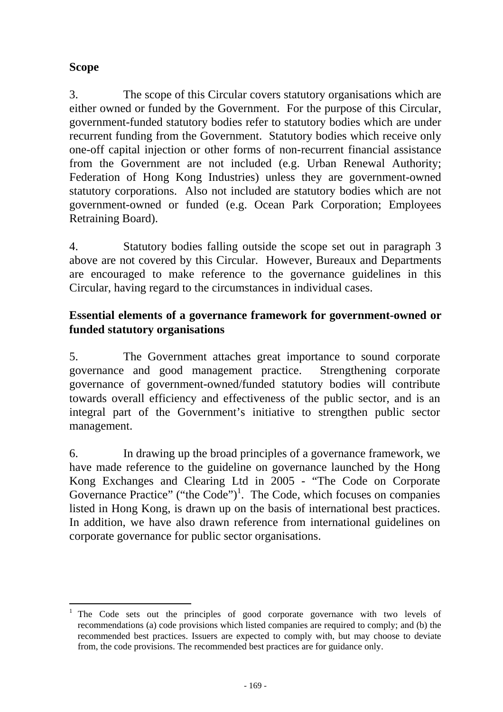# **Scope**

3. The scope of this Circular covers statutory organisations which are either owned or funded by the Government. For the purpose of this Circular, government-funded statutory bodies refer to statutory bodies which are under recurrent funding from the Government. Statutory bodies which receive only one-off capital injection or other forms of non-recurrent financial assistance from the Government are not included (e.g. Urban Renewal Authority; Federation of Hong Kong Industries) unless they are government-owned statutory corporations. Also not included are statutory bodies which are not government-owned or funded (e.g. Ocean Park Corporation; Employees Retraining Board).

4. Statutory bodies falling outside the scope set out in paragraph 3 above are not covered by this Circular. However, Bureaux and Departments are encouraged to make reference to the governance guidelines in this Circular, having regard to the circumstances in individual cases.

# **Essential elements of a governance framework for government-owned or funded statutory organisations**

5. The Government attaches great importance to sound corporate governance and good management practice. Strengthening corporate governance of government-owned/funded statutory bodies will contribute towards overall efficiency and effectiveness of the public sector, and is an integral part of the Government's initiative to strengthen public sector management.

6. In drawing up the broad principles of a governance framework, we have made reference to the guideline on governance launched by the Hong Kong Exchanges and Clearing Ltd in 2005 - "The Code on Corporate Governance Practice" ("the Code")<sup>1</sup>. The Code, which focuses on companies listed in Hong Kong, is drawn up on the basis of international best practices. In addition, we have also drawn reference from international guidelines on corporate governance for public sector organisations.

 $\overline{a}$ The Code sets out the principles of good corporate governance with two levels of recommendations (a) code provisions which listed companies are required to comply; and (b) the recommended best practices. Issuers are expected to comply with, but may choose to deviate from, the code provisions. The recommended best practices are for guidance only.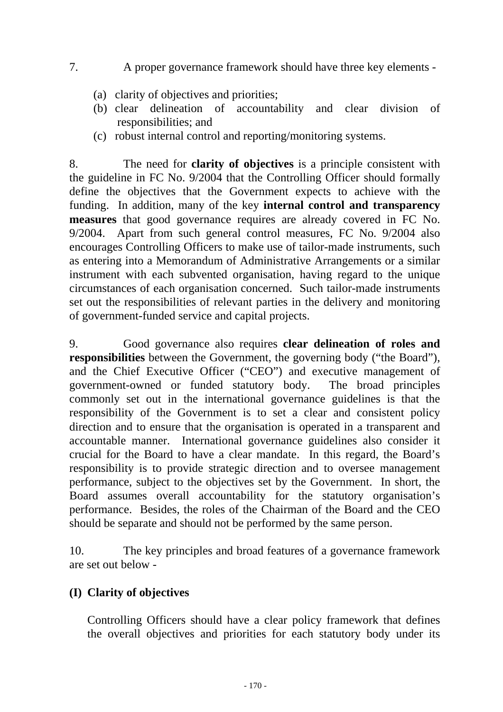# 7. A proper governance framework should have three key elements -

- (a) clarity of objectives and priorities;
- (b) clear delineation of accountability and clear division of responsibilities; and
- (c) robust internal control and reporting/monitoring systems.

8. The need for **clarity of objectives** is a principle consistent with the guideline in FC No. 9/2004 that the Controlling Officer should formally define the objectives that the Government expects to achieve with the funding. In addition, many of the key **internal control and transparency measures** that good governance requires are already covered in FC No. 9/2004. Apart from such general control measures, FC No. 9/2004 also encourages Controlling Officers to make use of tailor-made instruments, such as entering into a Memorandum of Administrative Arrangements or a similar instrument with each subvented organisation, having regard to the unique circumstances of each organisation concerned. Such tailor-made instruments set out the responsibilities of relevant parties in the delivery and monitoring of government-funded service and capital projects.

9. Good governance also requires **clear delineation of roles and responsibilities** between the Government, the governing body ("the Board"), and the Chief Executive Officer ("CEO") and executive management of government-owned or funded statutory body. The broad principles commonly set out in the international governance guidelines is that the responsibility of the Government is to set a clear and consistent policy direction and to ensure that the organisation is operated in a transparent and accountable manner. International governance guidelines also consider it crucial for the Board to have a clear mandate. In this regard, the Board's responsibility is to provide strategic direction and to oversee management performance, subject to the objectives set by the Government. In short, the Board assumes overall accountability for the statutory organisation's performance. Besides, the roles of the Chairman of the Board and the CEO should be separate and should not be performed by the same person.

10. The key principles and broad features of a governance framework are set out below -

# **(I) Clarity of objectives**

Controlling Officers should have a clear policy framework that defines the overall objectives and priorities for each statutory body under its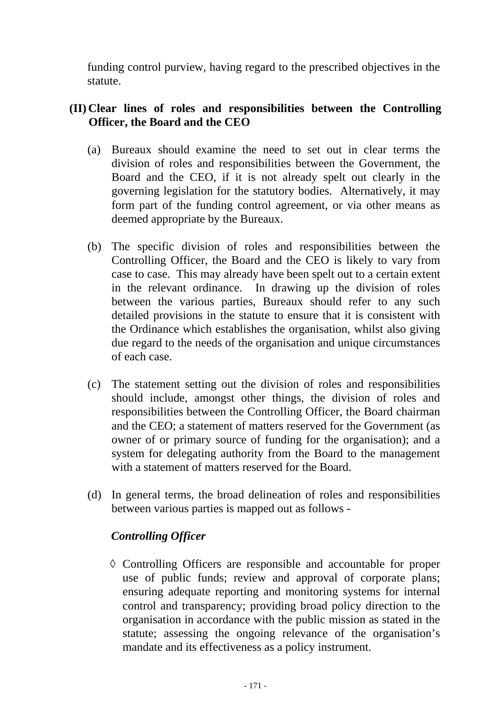funding control purview, having regard to the prescribed objectives in the statute.

# **(II) Clear lines of roles and responsibilities between the Controlling Officer, the Board and the CEO**

- (a) Bureaux should examine the need to set out in clear terms the division of roles and responsibilities between the Government, the Board and the CEO, if it is not already spelt out clearly in the governing legislation for the statutory bodies. Alternatively, it may form part of the funding control agreement, or via other means as deemed appropriate by the Bureaux.
- (b) The specific division of roles and responsibilities between the Controlling Officer, the Board and the CEO is likely to vary from case to case. This may already have been spelt out to a certain extent in the relevant ordinance. In drawing up the division of roles between the various parties, Bureaux should refer to any such detailed provisions in the statute to ensure that it is consistent with the Ordinance which establishes the organisation, whilst also giving due regard to the needs of the organisation and unique circumstances of each case.
- (c) The statement setting out the division of roles and responsibilities should include, amongst other things, the division of roles and responsibilities between the Controlling Officer, the Board chairman and the CEO; a statement of matters reserved for the Government (as owner of or primary source of funding for the organisation); and a system for delegating authority from the Board to the management with a statement of matters reserved for the Board.
- (d) In general terms, the broad delineation of roles and responsibilities between various parties is mapped out as follows -

### *Controlling Officer*

◊ Controlling Officers are responsible and accountable for proper use of public funds; review and approval of corporate plans; ensuring adequate reporting and monitoring systems for internal control and transparency; providing broad policy direction to the organisation in accordance with the public mission as stated in the statute; assessing the ongoing relevance of the organisation's mandate and its effectiveness as a policy instrument.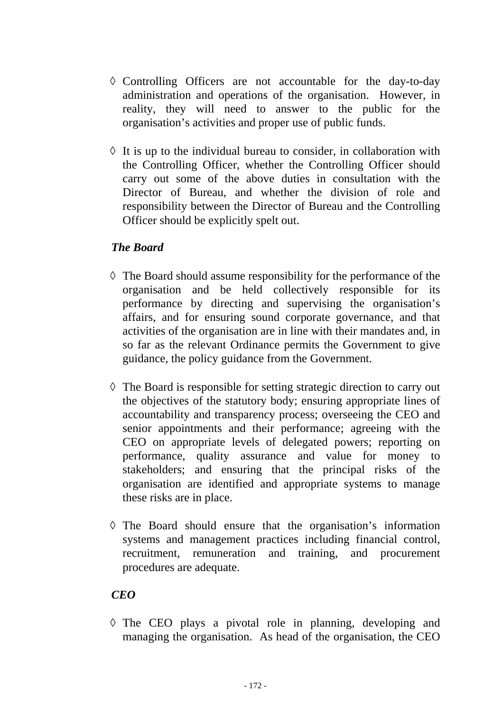- ◊ Controlling Officers are not accountable for the day-to-day administration and operations of the organisation. However, in reality, they will need to answer to the public for the organisation's activities and proper use of public funds.
- $\Diamond$  It is up to the individual bureau to consider, in collaboration with the Controlling Officer, whether the Controlling Officer should carry out some of the above duties in consultation with the Director of Bureau, and whether the division of role and responsibility between the Director of Bureau and the Controlling Officer should be explicitly spelt out.

# *The Board*

- $\Diamond$  The Board should assume responsibility for the performance of the organisation and be held collectively responsible for its performance by directing and supervising the organisation's affairs, and for ensuring sound corporate governance, and that activities of the organisation are in line with their mandates and, in so far as the relevant Ordinance permits the Government to give guidance, the policy guidance from the Government.
- $\Diamond$  The Board is responsible for setting strategic direction to carry out the objectives of the statutory body; ensuring appropriate lines of accountability and transparency process; overseeing the CEO and senior appointments and their performance; agreeing with the CEO on appropriate levels of delegated powers; reporting on performance, quality assurance and value for money to stakeholders; and ensuring that the principal risks of the organisation are identified and appropriate systems to manage these risks are in place.
- ◊ The Board should ensure that the organisation's information systems and management practices including financial control, recruitment, remuneration and training, and procurement procedures are adequate.

### *CEO*

◊ The CEO plays a pivotal role in planning, developing and managing the organisation. As head of the organisation, the CEO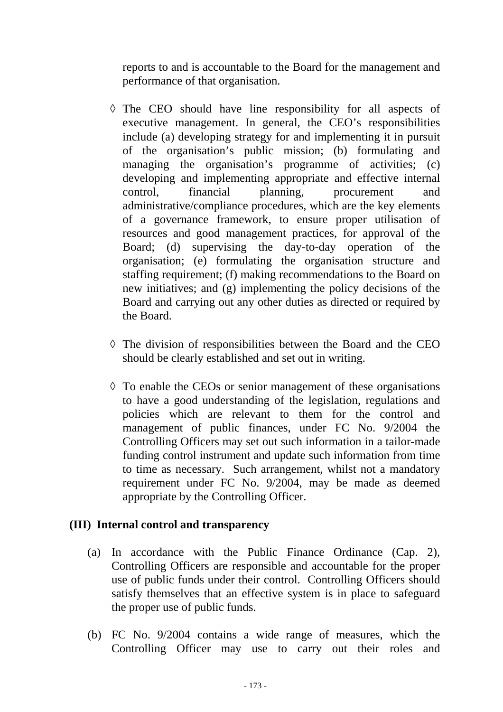reports to and is accountable to the Board for the management and performance of that organisation.

- ◊ The CEO should have line responsibility for all aspects of executive management. In general, the CEO's responsibilities include (a) developing strategy for and implementing it in pursuit of the organisation's public mission; (b) formulating and managing the organisation's programme of activities; (c) developing and implementing appropriate and effective internal control, financial planning, procurement and administrative/compliance procedures, which are the key elements of a governance framework, to ensure proper utilisation of resources and good management practices, for approval of the Board; (d) supervising the day-to-day operation of the organisation; (e) formulating the organisation structure and staffing requirement; (f) making recommendations to the Board on new initiatives; and (g) implementing the policy decisions of the Board and carrying out any other duties as directed or required by the Board.
- ◊ The division of responsibilities between the Board and the CEO should be clearly established and set out in writing.
- ◊ To enable the CEOs or senior management of these organisations to have a good understanding of the legislation, regulations and policies which are relevant to them for the control and management of public finances, under FC No. 9/2004 the Controlling Officers may set out such information in a tailor-made funding control instrument and update such information from time to time as necessary. Such arrangement, whilst not a mandatory requirement under FC No. 9/2004, may be made as deemed appropriate by the Controlling Officer.

### **(III) Internal control and transparency**

- (a) In accordance with the Public Finance Ordinance (Cap. 2), Controlling Officers are responsible and accountable for the proper use of public funds under their control. Controlling Officers should satisfy themselves that an effective system is in place to safeguard the proper use of public funds.
- (b) FC No. 9/2004 contains a wide range of measures, which the Controlling Officer may use to carry out their roles and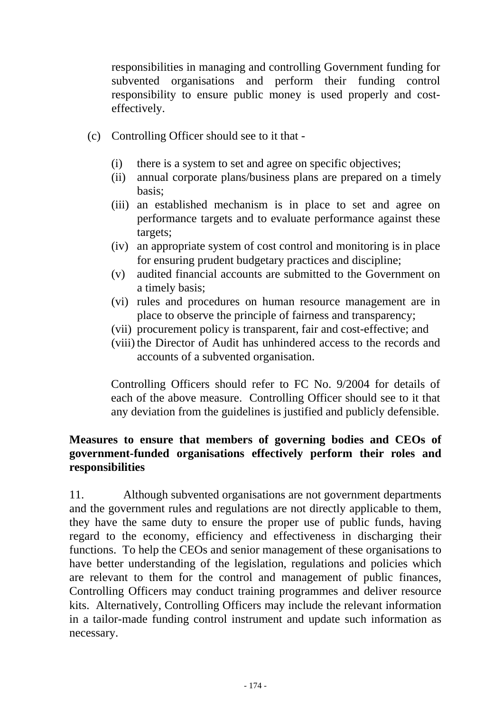responsibilities in managing and controlling Government funding for subvented organisations and perform their funding control responsibility to ensure public money is used properly and costeffectively.

- (c) Controlling Officer should see to it that
	- (i) there is a system to set and agree on specific objectives;
	- (ii) annual corporate plans/business plans are prepared on a timely basis;
	- (iii) an established mechanism is in place to set and agree on performance targets and to evaluate performance against these targets;
	- (iv) an appropriate system of cost control and monitoring is in place for ensuring prudent budgetary practices and discipline;
	- (v) audited financial accounts are submitted to the Government on a timely basis;
	- (vi) rules and procedures on human resource management are in place to observe the principle of fairness and transparency;
	- (vii) procurement policy is transparent, fair and cost-effective; and
	- (viii) the Director of Audit has unhindered access to the records and accounts of a subvented organisation.

Controlling Officers should refer to FC No. 9/2004 for details of each of the above measure. Controlling Officer should see to it that any deviation from the guidelines is justified and publicly defensible.

# **Measures to ensure that members of governing bodies and CEOs of government-funded organisations effectively perform their roles and responsibilities**

11. Although subvented organisations are not government departments and the government rules and regulations are not directly applicable to them, they have the same duty to ensure the proper use of public funds, having regard to the economy, efficiency and effectiveness in discharging their functions. To help the CEOs and senior management of these organisations to have better understanding of the legislation, regulations and policies which are relevant to them for the control and management of public finances, Controlling Officers may conduct training programmes and deliver resource kits. Alternatively, Controlling Officers may include the relevant information in a tailor-made funding control instrument and update such information as necessary.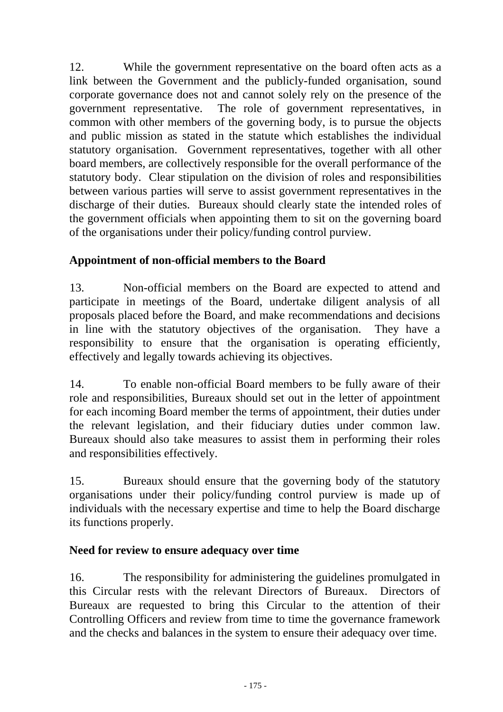12. While the government representative on the board often acts as a link between the Government and the publicly-funded organisation, sound corporate governance does not and cannot solely rely on the presence of the government representative. The role of government representatives, in common with other members of the governing body, is to pursue the objects and public mission as stated in the statute which establishes the individual statutory organisation. Government representatives, together with all other board members, are collectively responsible for the overall performance of the statutory body. Clear stipulation on the division of roles and responsibilities between various parties will serve to assist government representatives in the discharge of their duties. Bureaux should clearly state the intended roles of the government officials when appointing them to sit on the governing board of the organisations under their policy/funding control purview.

# **Appointment of non-official members to the Board**

13. Non-official members on the Board are expected to attend and participate in meetings of the Board, undertake diligent analysis of all proposals placed before the Board, and make recommendations and decisions in line with the statutory objectives of the organisation. They have a responsibility to ensure that the organisation is operating efficiently, effectively and legally towards achieving its objectives.

14. To enable non-official Board members to be fully aware of their role and responsibilities, Bureaux should set out in the letter of appointment for each incoming Board member the terms of appointment, their duties under the relevant legislation, and their fiduciary duties under common law. Bureaux should also take measures to assist them in performing their roles and responsibilities effectively.

15. Bureaux should ensure that the governing body of the statutory organisations under their policy/funding control purview is made up of individuals with the necessary expertise and time to help the Board discharge its functions properly.

# **Need for review to ensure adequacy over time**

16. The responsibility for administering the guidelines promulgated in this Circular rests with the relevant Directors of Bureaux. Directors of Bureaux are requested to bring this Circular to the attention of their Controlling Officers and review from time to time the governance framework and the checks and balances in the system to ensure their adequacy over time.